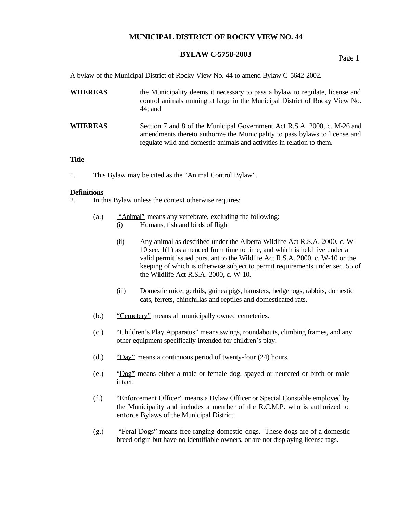# **BYLAW C-5758-2003** Page 1

A bylaw of the Municipal District of Rocky View No. 44 to amend Bylaw C-5642-2002.

| <b>WHEREAS</b> | the Municipality deems it necessary to pass a bylaw to regulate, license and<br>control animals running at large in the Municipal District of Rocky View No.<br>44; and                                                            |
|----------------|------------------------------------------------------------------------------------------------------------------------------------------------------------------------------------------------------------------------------------|
| <b>WHEREAS</b> | Section 7 and 8 of the Municipal Government Act R.S.A. 2000, c. M-26 and<br>amendments thereto authorize the Municipality to pass by laws to license and<br>regulate wild and domestic animals and activities in relation to them. |

#### **Title**

1. This Bylaw may be cited as the "Animal Control Bylaw".

#### **Definitions**

- 2. In this Bylaw unless the context otherwise requires:
	- (a.) "Animal" means any vertebrate, excluding the following: (i) Humans, fish and birds of flight
		- (ii) Any animal as described under the Alberta Wildlife Act R.S.A. 2000, c. W-10 sec. 1(ll) as amended from time to time, and which is held live under a valid permit issued pursuant to the Wildlife Act R.S.A. 2000, c. W-10 or the keeping of which is otherwise subject to permit requirements under sec. 55 of the Wildlife Act R.S.A. 2000, c. W-10.
		- (iii) Domestic mice, gerbils, guinea pigs, hamsters, hedgehogs, rabbits, domestic cats, ferrets, chinchillas and reptiles and domesticated rats.
	- (b.) "Cemetery" means all municipally owned cemeteries.
	- (c.) "Children's Play Apparatus" means swings, roundabouts, climbing frames, and any other equipment specifically intended for children's play.
	- (d.) "Day" means a continuous period of twenty-four (24) hours.
	- (e.) "Dog" means either a male or female dog, spayed or neutered or bitch or male intact.
	- (f.) "Enforcement Officer" means a Bylaw Officer or Special Constable employed by the Municipality and includes a member of the R.C.M.P. who is authorized to enforce Bylaws of the Municipal District.
	- (g.) "Feral Dogs" means free ranging domestic dogs. These dogs are of a domestic breed origin but have no identifiable owners, or are not displaying license tags.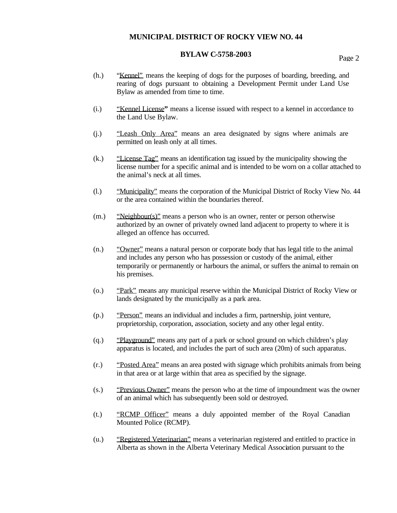# **BYLAW C-5758-2003** Page 2

- (h.) "Kennel" means the keeping of dogs for the purposes of boarding, breeding, and rearing of dogs pursuant to obtaining a Development Permit under Land Use Bylaw as amended from time to time.
- (i.) "Kennel License**"** means a license issued with respect to a kennel in accordance to the Land Use Bylaw.
- (j.) "Leash Only Area" means an area designated by signs where animals are permitted on leash only at all times.
- (k.) "License Tag" means an identification tag issued by the municipality showing the license number for a specific animal and is intended to be worn on a collar attached to the animal's neck at all times.
- (l.) "Municipality" means the corporation of the Municipal District of Rocky View No. 44 or the area contained within the boundaries thereof.
- (m.) "Neighbour(s)" means a person who is an owner, renter or person otherwise authorized by an owner of privately owned land adjacent to property to where it is alleged an offence has occurred.
- (n.) "Owner" means a natural person or corporate body that has legal title to the animal and includes any person who has possession or custody of the animal, either temporarily or permanently or harbours the animal, or suffers the animal to remain on his premises.
- (o.) "Park" means any municipal reserve within the Municipal District of Rocky View or lands designated by the municipally as a park area.
- (p.) "Person" means an individual and includes a firm, partnership, joint venture, proprietorship, corporation, association, society and any other legal entity.
- (q.) "Playground" means any part of a park or school ground on which children's play apparatus is located, and includes the part of such area (20m) of such apparatus.
- (r.) "Posted Area" means an area posted with signage which prohibits animals from being in that area or at large within that area as specified by the signage.
- (s.) "Previous Owner" means the person who at the time of impoundment was the owner of an animal which has subsequently been sold or destroyed.
- (t.) "RCMP Officer" means a duly appointed member of the Royal Canadian Mounted Police (RCMP).
- (u.) "Registered Veterinarian" means a veterinarian registered and entitled to practice in Alberta as shown in the Alberta Veterinary Medical Association pursuant to the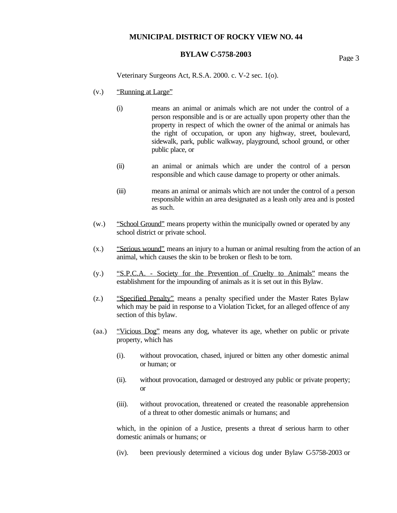# **BYLAW C-5758-2003** Page 3

Veterinary Surgeons Act, R.S.A. 2000. c. V-2 sec. 1(o).

- (v.) "Running at Large"
	- (i) means an animal or animals which are not under the control of a person responsible and is or are actually upon property other than the property in respect of which the owner of the animal or animals has the right of occupation, or upon any highway, street, boulevard, sidewalk, park, public walkway, playground, school ground, or other public place, or
	- (ii) an animal or animals which are under the control of a person responsible and which cause damage to property or other animals.
	- (iii) means an animal or animals which are not under the control of a person responsible within an area designated as a leash only area and is posted as such.
- (w.) "School Ground" means property within the municipally owned or operated by any school district or private school.
- (x.) "Serious wound" means an injury to a human or animal resulting from the action of an animal, which causes the skin to be broken or flesh to be torn.
- (y.) "S.P.C.A. Society for the Prevention of Cruelty to Animals" means the establishment for the impounding of animals as it is set out in this Bylaw.
- (z.) "Specified Penalty" means a penalty specified under the Master Rates Bylaw which may be paid in response to a Violation Ticket, for an alleged offence of any section of this bylaw.
- (aa.) "Vicious Dog" means any dog, whatever its age, whether on public or private property, which has
	- (i). without provocation, chased, injured or bitten any other domestic animal or human; or
	- (ii). without provocation, damaged or destroyed any public or private property; or
	- (iii). without provocation, threatened or created the reasonable apprehension of a threat to other domestic animals or humans; and

which, in the opinion of a Justice, presents a threat  $\vec{d}$  serious harm to other domestic animals or humans; or

(iv). been previously determined a vicious dog under Bylaw C-5758-2003 or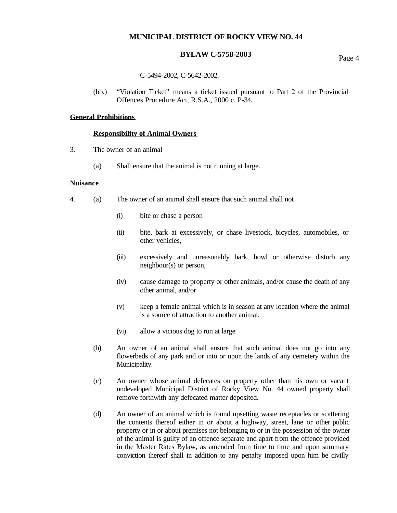# **BYLAW C-5758-2003** Page 4

#### C-5494-2002, C-5642-2002.

(bb.) "Violation Ticket" means a ticket issued pursuant to Part 2 of the Provincial Offences Procedure Act, R.S.A., 2000 c. P-34.

### **General Prohibitions**

#### **Responsibility of Animal Owners**

- 3. The owner of an animal
	- (a) Shall ensure that the animal is not running at large.

#### **Nuisance**

- 4. (a) The owner of an animal shall ensure that such animal shall not
	- (i) bite or chase a person
	- (ii) bite, bark at excessively, or chase livestock, bicycles, automobiles, or other vehicles,
	- (iii) excessively and unreasonably bark, howl or otherwise disturb any neighbour(s) or person,
	- (iv) cause damage to property or other animals, and/or cause the death of any other animal, and/or
	- (v) keep a female animal which is in season at any location where the animal is a source of attraction to another animal.
	- (vi) allow a vicious dog to run at large
	- (b) An owner of an animal shall ensure that such animal does not go into any flowerbeds of any park and or into or upon the lands of any cemetery within the Municipality.
	- (c) An owner whose animal defecates on property other than his own or vacant undeveloped Municipal District of Rocky View No. 44 owned property shall remove forthwith any defecated matter deposited.
	- (d) An owner of an animal which is found upsetting waste receptacles or scattering the contents thereof either in or about a highway, street, lane or other public property or in or about premises not belonging to or in the possession of the owner of the animal is guilty of an offence separate and apart from the offence provided in the Master Rates Bylaw, as amended from time to time and upon summary conviction thereof shall in addition to any penalty imposed upon him be civilly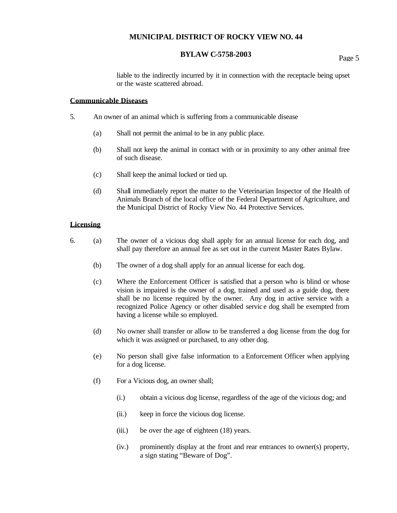# **BYLAW C-5758-2003** Page 5

liable to the indirectly incurred by it in connection with the receptacle being upset or the waste scattered abroad.

#### **Communicable Diseases**

- 5. An owner of an animal which is suffering from a communicable disease
	- (a) Shall not permit the animal to be in any public place.
	- (b) Shall not keep the animal in contact with or in proximity to any other animal free of such disease.
	- (c) Shall keep the animal locked or tied up.
	- (d) Shall immediately report the matter to the Veterinarian Inspector of the Health of Animals Branch of the local office of the Federal Department of Agriculture, and the Municipal District of Rocky View No. 44 Protective Services.

### **Licensing**

- 6. (a) The owner of a vicious dog shall apply for an annual license for each dog, and shall pay therefore an annual fee as set out in the current Master Rates Bylaw.
	- (b) The owner of a dog shall apply for an annual license for each dog.
	- (c) Where the Enforcement Officer is satisfied that a person who is blind or whose vision is impaired is the owner of a dog, trained and used as a guide dog, there shall be no license required by the owner. Any dog in active service with a recognized Police Agency or other disabled servic e dog shall be exempted from having a license while so employed.
	- (d) No owner shall transfer or allow to be transferred a dog license from the dog for which it was assigned or purchased, to any other dog.
	- (e) No person shall give false information to a Enforcement Officer when applying for a dog license.
	- (f) For a Vicious dog, an owner shall;
		- (i.) obtain a vicious dog license, regardless of the age of the vicious dog; and
		- (ii.) keep in force the vicious dog license.
		- (iii.) be over the age of eighteen (18) years.
		- (iv.) prominently display at the front and rear entrances to owner(s) property, a sign stating "Beware of Dog".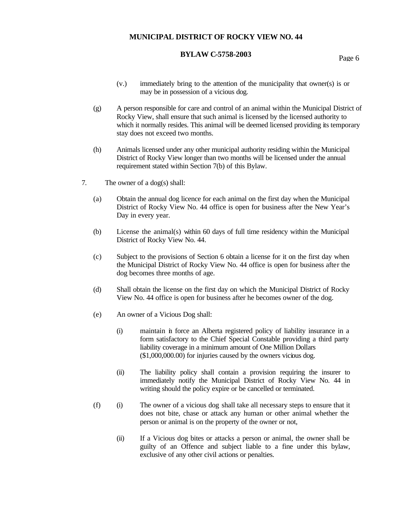# **BYLAW C-5758-2003** Page 6

- (v.) immediately bring to the attention of the municipality that owner(s) is or may be in possession of a vicious dog.
- (g) A person responsible for care and control of an animal within the Municipal District of Rocky View, shall ensure that such animal is licensed by the licensed authority to which it normally resides. This animal will be deemed licensed providing its temporary stay does not exceed two months.
- (h) Animals licensed under any other municipal authority residing within the Municipal District of Rocky View longer than two months will be licensed under the annual requirement stated within Section 7(b) of this Bylaw.
- 7. The owner of a dog(s) shall:
	- (a) Obtain the annual dog licence for each animal on the first day when the Municipal District of Rocky View No. 44 office is open for business after the New Year's Day in every year.
	- (b) License the animal(s) within 60 days of full time residency within the Municipal District of Rocky View No. 44.
	- (c) Subject to the provisions of Section 6 obtain a license for it on the first day when the Municipal District of Rocky View No. 44 office is open for business after the dog becomes three months of age.
	- (d) Shall obtain the license on the first day on which the Municipal District of Rocky View No. 44 office is open for business after he becomes owner of the dog.
	- (e) An owner of a Vicious Dog shall:
		- (i) maintain in force an Alberta registered policy of liability insurance in a form satisfactory to the Chief Special Constable providing a third party liability coverage in a minimum amount of One Million Dollars (\$1,000,000.00) for injuries caused by the owners vicious dog.
		- (ii) The liability policy shall contain a provision requiring the insurer to immediately notify the Municipal District of Rocky View No. 44 in writing should the policy expire or be cancelled or terminated.
	- (f) (i) The owner of a vicious dog shall take all necessary steps to ensure that it does not bite, chase or attack any human or other animal whether the person or animal is on the property of the owner or not,
		- (ii) If a Vicious dog bites or attacks a person or animal, the owner shall be guilty of an Offence and subject liable to a fine under this bylaw, exclusive of any other civil actions or penalties.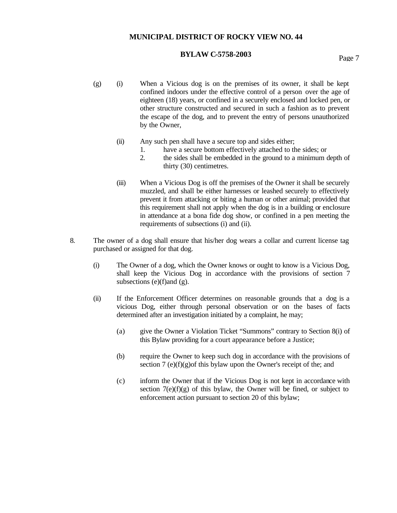# **BYLAW C-5758-2003** Page 7

- $(g)$  (i) When a Vicious dog is on the premises of its owner, it shall be kept confined indoors under the effective control of a person over the age of eighteen (18) years, or confined in a securely enclosed and locked pen, or other structure constructed and secured in such a fashion as to prevent the escape of the dog, and to prevent the entry of persons unauthorized by the Owner,
	- (ii) Any such pen shall have a secure top and sides either;
		- 1. have a secure bottom effectively attached to the sides; or
		- 2. the sides shall be embedded in the ground to a minimum depth of thirty (30) centimetres.
	- (iii) When a Vicious Dog is off the premises of the Owner it shall be securely muzzled, and shall be either harnesses or leashed securely to effectively prevent it from attacking or biting a human or other animal; provided that this requirement shall not apply when the dog is in a building or enclosure in attendance at a bona fide dog show, or confined in a pen meeting the requirements of subsections (i) and (ii).
- 8. The owner of a dog shall ensure that his/her dog wears a collar and current license tag purchased or assigned for that dog.
	- (i) The Owner of a dog, which the Owner knows or ought to know is a Vicious Dog, shall keep the Vicious Dog in accordance with the provisions of section 7 subsections  $(e)(f)$  and  $(g)$ .
	- (ii) If the Enforcement Officer determines on reasonable grounds that a dog is a vicious Dog, either through personal observation or on the bases of facts determined after an investigation initiated by a complaint, he may;
		- (a) give the Owner a Violation Ticket "Summons" contrary to Section 8(i) of this Bylaw providing for a court appearance before a Justice;
		- (b) require the Owner to keep such dog in accordance with the provisions of section 7 (e)(f)(g) of this bylaw upon the Owner's receipt of the; and
		- (c) inform the Owner that if the Vicious Dog is not kept in accordance with section  $7(e)(f)(g)$  of this bylaw, the Owner will be fined, or subject to enforcement action pursuant to section 20 of this bylaw;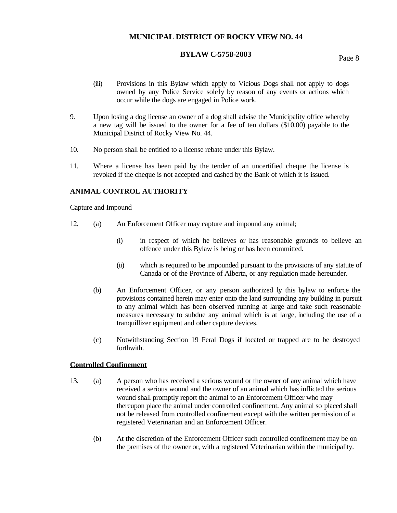# **BYLAW C-5758-2003** Page 8

- (iii) Provisions in this Bylaw which apply to Vicious Dogs shall not apply to dogs owned by any Police Service sole ly by reason of any events or actions which occur while the dogs are engaged in Police work.
- 9. Upon losing a dog license an owner of a dog shall advise the Municipality office whereby a new tag will be issued to the owner for a fee of ten dollars (\$10.00) payable to the Municipal District of Rocky View No. 44.
- 10. No person shall be entitled to a license rebate under this Bylaw.
- 11. Where a license has been paid by the tender of an uncertified cheque the license is revoked if the cheque is not accepted and cashed by the Bank of which it is issued.

### **ANIMAL CONTROL AUTHORITY**

#### Capture and Impound

- 12. (a) An Enforcement Officer may capture and impound any animal;
	- (i) in respect of which he believes or has reasonable grounds to believe an offence under this Bylaw is being or has been committed.
	- (ii) which is required to be impounded pursuant to the provisions of any statute of Canada or of the Province of Alberta, or any regulation made hereunder.
	- (b) An Enforcement Officer, or any person authorized by this bylaw to enforce the provisions contained herein may enter onto the land surrounding any building in pursuit to any animal which has been observed running at large and take such reasonable measures necessary to subdue any animal which is at large, including the use of a tranquillizer equipment and other capture devices.
	- (c) Notwithstanding Section 19 Feral Dogs if located or trapped are to be destroyed forthwith.

#### **Controlled Confinement**

- 13. (a) A person who has received a serious wound or the owner of any animal which have received a serious wound and the owner of an animal which has inflicted the serious wound shall promptly report the animal to an Enforcement Officer who may thereupon place the animal under controlled confinement. Any animal so placed shall not be released from controlled confinement except with the written permission of a registered Veterinarian and an Enforcement Officer.
	- (b) At the discretion of the Enforcement Officer such controlled confinement may be on the premises of the owner or, with a registered Veterinarian within the municipality.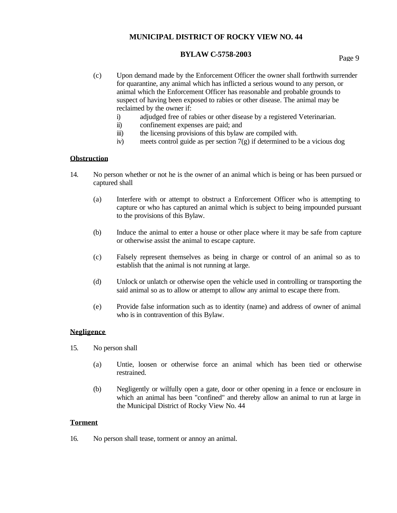# **BYLAW C-5758-2003** Page 9

- (c) Upon demand made by the Enforcement Officer the owner shall forthwith surrender for quarantine, any animal which has inflicted a serious wound to any person, or animal which the Enforcement Officer has reasonable and probable grounds to suspect of having been exposed to rabies or other disease. The animal may be reclaimed by the owner if:
	- i) adjudged free of rabies or other disease by a registered Veterinarian.
	- ii) confinement expenses are paid; and
	- iii) the licensing provisions of this bylaw are compiled with.
	- iv) meets control guide as per section 7(g) if determined to be a vicious dog

### **Obstruction**

- 14. No person whether or not he is the owner of an animal which is being or has been pursued or captured shall
	- (a) Interfere with or attempt to obstruct a Enforcement Officer who is attempting to capture or who has captured an animal which is subject to being impounded pursuant to the provisions of this Bylaw.
	- (b) Induce the animal to enter a house or other place where it may be safe from capture or otherwise assist the animal to escape capture.
	- (c) Falsely represent themselves as being in charge or control of an animal so as to establish that the animal is not running at large.
	- (d) Unlock or unlatch or otherwise open the vehicle used in controlling or transporting the said animal so as to allow or attempt to allow any animal to escape there from.
	- (e) Provide false information such as to identity (name) and address of owner of animal who is in contravention of this Bylaw.

#### **Negligence**

- 15. No person shall
	- (a) Untie, loosen or otherwise force an animal which has been tied or otherwise restrained.
	- (b) Negligently or wilfully open a gate, door or other opening in a fence or enclosure in which an animal has been "confined" and thereby allow an animal to run at large in the Municipal District of Rocky View No. 44

#### **Torment**

16. No person shall tease, torment or annoy an animal.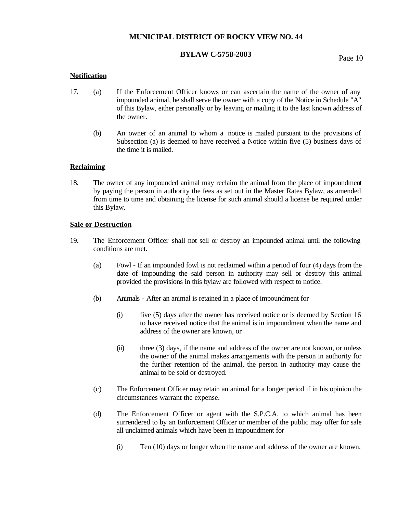# **BYLAW C-5758-2003** Page 10

#### **Notification**

- 17. (a) If the Enforcement Officer knows or can ascertain the name of the owner of any impounded animal, he shall serve the owner with a copy of the Notice in Schedule "A" of this Bylaw, either personally or by leaving or mailing it to the last known address of the owner.
	- (b) An owner of an animal to whom a notice is mailed pursuant to the provisions of Subsection (a) is deemed to have received a Notice within five (5) business days of the time it is mailed.

#### **Reclaiming**

18. The owner of any impounded animal may reclaim the animal from the place of impoundment by paying the person in authority the fees as set out in the Master Rates Bylaw, as amended from time to time and obtaining the license for such animal should a license be required under this Bylaw.

#### **Sale or Destruction**

- 19. The Enforcement Officer shall not sell or destroy an impounded animal until the following conditions are met.
	- (a) Fowl If an impounded fowl is not reclaimed within a period of four (4) days from the date of impounding the said person in authority may sell or destroy this animal provided the provisions in this bylaw are followed with respect to notice.
	- (b) Animals After an animal is retained in a place of impoundment for
		- (i) five (5) days after the owner has received notice or is deemed by Section 16 to have received notice that the animal is in impoundment when the name and address of the owner are known, or
		- (ii) three (3) days, if the name and address of the owner are not known, or unless the owner of the animal makes arrangements with the person in authority for the further retention of the animal, the person in authority may cause the animal to be sold or destroyed.
	- (c) The Enforcement Officer may retain an animal for a longer period if in his opinion the circumstances warrant the expense.
	- (d) The Enforcement Officer or agent with the S.P.C.A. to which animal has been surrendered to by an Enforcement Officer or member of the public may offer for sale all unclaimed animals which have been in impoundment for
		- (i) Ten (10) days or longer when the name and address of the owner are known.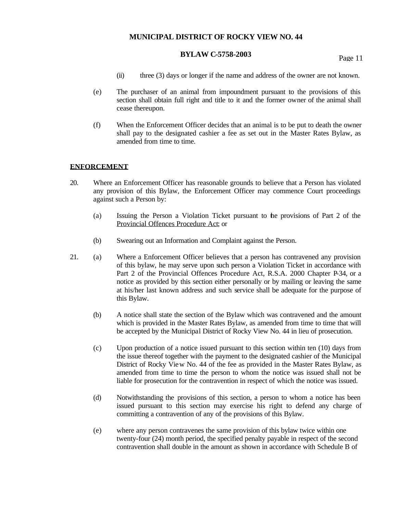# **BYLAW C-5758-2003** Page 11

- (ii) three (3) days or longer if the name and address of the owner are not known.
- (e) The purchaser of an animal from impoundment pursuant to the provisions of this section shall obtain full right and title to it and the former owner of the animal shall cease thereupon.
- (f) When the Enforcement Officer decides that an animal is to be put to death the owner shall pay to the designated cashier a fee as set out in the Master Rates Bylaw, as amended from time to time.

#### **ENFORCEMENT**

- 20. Where an Enforcement Officer has reasonable grounds to believe that a Person has violated any provision of this Bylaw, the Enforcement Officer may commence Court proceedings against such a Person by:
	- (a) Issuing the Person a Violation Ticket pursuant to the provisions of Part 2 of the Provincial Offences Procedure Act; or
	- (b) Swearing out an Information and Complaint against the Person.
- 21. (a) Where a Enforcement Officer believes that a person has contravened any provision of this bylaw, he may serve upon such person a Violation Ticket in accordance with Part 2 of the Provincial Offences Procedure Act, R.S.A. 2000 Chapter P-34, or a notice as provided by this section either personally or by mailing or leaving the same at his/her last known address and such service shall be adequate for the purpose of this Bylaw.
	- (b) A notice shall state the section of the Bylaw which was contravened and the amount which is provided in the Master Rates Bylaw, as amended from time to time that will be accepted by the Municipal District of Rocky View No. 44 in lieu of prosecution.
	- (c) Upon production of a notice issued pursuant to this section within ten (10) days from the issue thereof together with the payment to the designated cashier of the Municipal District of Rocky View No. 44 of the fee as provided in the Master Rates Bylaw, as amended from time to time the person to whom the notice was issued shall not be liable for prosecution for the contravention in respect of which the notice was issued.
	- (d) Notwithstanding the provisions of this section, a person to whom a notice has been issued pursuant to this section may exercise his right to defend any charge of committing a contravention of any of the provisions of this Bylaw.
	- (e) where any person contravenes the same provision of this bylaw twice within one twenty-four (24) month period, the specified penalty payable in respect of the second contravention shall double in the amount as shown in accordance with Schedule B of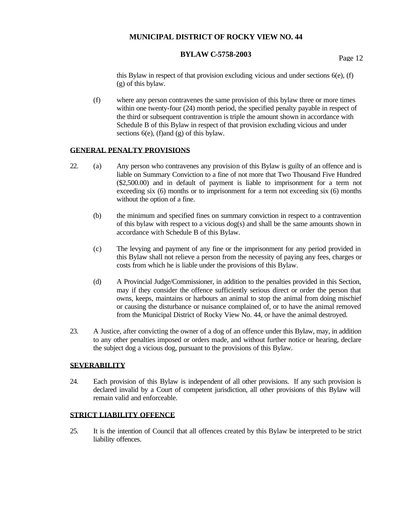# **BYLAW C-5758-2003** Page 12

this Bylaw in respect of that provision excluding vicious and under sections  $6(e)$ , (f) (g) of this bylaw.

(f) where any person contravenes the same provision of this bylaw three or more times within one twenty-four (24) month period, the specified penalty payable in respect of the third or subsequent contravention is triple the amount shown in accordance with Schedule B of this Bylaw in respect of that provision excluding vicious and under sections  $6(e)$ , (f)and (g) of this bylaw.

#### **GENERAL PENALTY PROVISIONS**

- 22. (a) Any person who contravenes any provision of this Bylaw is guilty of an offence and is liable on Summary Conviction to a fine of not more that Two Thousand Five Hundred (\$2,500.00) and in default of payment is liable to imprisonment for a term not exceeding six (6) months or to imprisonment for a term not exceeding six (6) months without the option of a fine.
	- (b) the minimum and specified fines on summary conviction in respect to a contravention of this bylaw with respect to a vicious dog(s) and shall be the same amounts shown in accordance with Schedule B of this Bylaw.
	- (c) The levying and payment of any fine or the imprisonment for any period provided in this Bylaw shall not relieve a person from the necessity of paying any fees, charges or costs from which he is liable under the provisions of this Bylaw.
	- (d) A Provincial Judge/Commissioner, in addition to the penalties provided in this Section, may if they consider the offence sufficiently serious direct or order the person that owns, keeps, maintains or harbours an animal to stop the animal from doing mischief or causing the disturbance or nuisance complained of, or to have the animal removed from the Municipal District of Rocky View No. 44, or have the animal destroyed.
- 23. A Justice, after convicting the owner of a dog of an offence under this Bylaw, may, in addition to any other penalties imposed or orders made, and without further notice or hearing, declare the subject dog a vicious dog, pursuant to the provisions of this Bylaw.

#### **SEVERABILITY**

24. Each provision of this Bylaw is independent of all other provisions. If any such provision is declared invalid by a Court of competent jurisdiction, all other provisions of this Bylaw will remain valid and enforceable.

#### **STRICT LIABILITY OFFENCE**

25. It is the intention of Council that all offences created by this Bylaw be interpreted to be strict liability offences.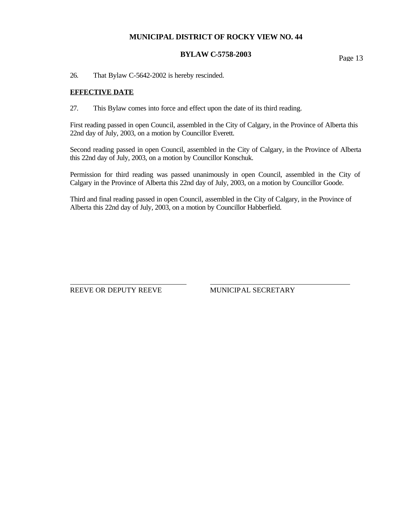# **BYLAW C-5758-2003** Page 13

26. That Bylaw C-5642-2002 is hereby rescinded.

### **EFFECTIVE DATE**

27. This Bylaw comes into force and effect upon the date of its third reading.

First reading passed in open Council, assembled in the City of Calgary, in the Province of Alberta this 22nd day of July, 2003, on a motion by Councillor Everett.

Second reading passed in open Council, assembled in the City of Calgary, in the Province of Alberta this 22nd day of July, 2003, on a motion by Councillor Konschuk.

Permission for third reading was passed unanimously in open Council, assembled in the City of Calgary in the Province of Alberta this 22nd day of July, 2003, on a motion by Councillor Goode.

Third and final reading passed in open Council, assembled in the City of Calgary, in the Province of Alberta this 22nd day of July, 2003, on a motion by Councillor Habberfield.

REEVE OR DEPUTY REEVE MUNICIPAL SECRETARY

 $\overline{a}$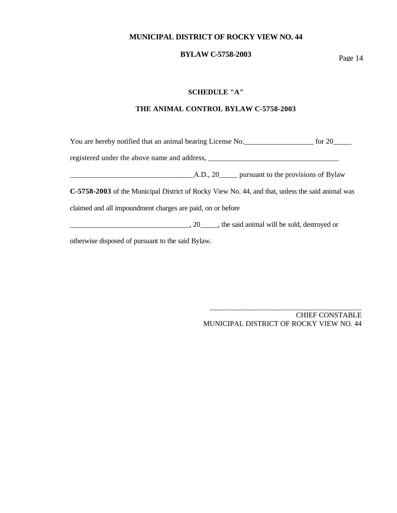# **BYLAW C-5758-2003** Page 14

#### **SCHEDULE "A"**

#### **THE ANIMAL CONTROL BYLAW C-5758-2003**

You are hereby notified that an animal bearing License No.\_\_\_\_\_\_\_\_\_\_\_\_\_\_\_\_\_\_\_ for 20\_\_\_\_\_ registered under the above name and address, \_\_\_\_\_\_\_\_\_\_\_\_\_\_\_\_\_\_\_\_\_\_\_\_\_\_\_\_\_\_\_\_\_\_\_  $\Box$  A.D., 20\_\_\_\_ pursuant to the provisions of Bylaw **C-5758-2003** of the Municipal District of Rocky View No. 44, and that, unless the said animal was claimed and all impoundment charges are paid, on or before  $\frac{1}{2}$  =  $\frac{1}{2}$  =  $\frac{1}{2}$  =  $\frac{1}{2}$  =  $\frac{1}{2}$  =  $\frac{1}{2}$  =  $\frac{1}{2}$  =  $\frac{1}{2}$  (he said animal will be sold, destroyed or

otherwise disposed of pursuant to the said Bylaw.

CHIEF CONSTABLE MUNICIPAL DISTRICT OF ROCKY VIEW NO. 44

\_\_\_\_\_\_\_\_\_\_\_\_\_\_\_\_\_\_\_\_\_\_\_\_\_\_\_\_\_\_\_\_\_\_\_\_\_\_\_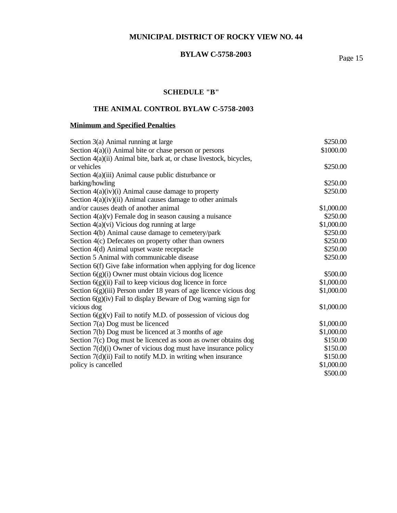# **BYLAW C-5758-2003** Page 15

# **SCHEDULE "B"**

# **THE ANIMAL CONTROL BYLAW C-5758-2003**

# **Minimum and Specified Penalties**

| Section 3(a) Animal running at large                                 | \$250.00   |
|----------------------------------------------------------------------|------------|
| Section 4(a)(i) Animal bite or chase person or persons               | \$1000.00  |
| Section 4(a)(ii) Animal bite, bark at, or chase livestock, bicycles, |            |
| or vehicles                                                          | \$250.00   |
| Section $4(a)(iii)$ Animal cause public disturbance or               |            |
| barking/howling                                                      | \$250.00   |
| Section $4(a)(iv)(i)$ Animal cause damage to property                | \$250.00   |
| Section $4(a)(iv)(ii)$ Animal causes damage to other animals         |            |
| and/or causes death of another animal                                | \$1,000.00 |
| Section $4(a)(v)$ Female dog in season causing a nuisance            | \$250.00   |
| Section $4(a)(vi)$ Vicious dog running at large                      | \$1,000.00 |
| Section 4(b) Animal cause damage to cemetery/park                    | \$250.00   |
| Section 4(c) Defecates on property other than owners                 | \$250.00   |
| Section 4(d) Animal upset waste receptacle                           | \$250.00   |
| Section 5 Animal with communicable disease                           | \$250.00   |
| Section 6(f) Give fake information when applying for dog licence     |            |
| Section $6(g)(i)$ Owner must obtain vicious dog licence              | \$500.00   |
| Section $6(g)(ii)$ Fail to keep vicious dog licence in force         | \$1,000.00 |
| Section $6(g)(iii)$ Person under 18 years of age licence vicious dog | \$1,000.00 |
| Section $6(g)(iv)$ Fail to display Beware of Dog warning sign for    |            |
| vicious dog                                                          | \$1,000.00 |
| Section $6(g)(v)$ Fail to notify M.D. of possession of vicious dog   |            |
| Section 7(a) Dog must be licenced                                    | \$1,000.00 |
| Section 7(b) Dog must be licenced at 3 months of age                 | \$1,000.00 |
| Section 7(c) Dog must be licenced as soon as owner obtains dog       | \$150.00   |
| Section $7(d)(i)$ Owner of vicious dog must have insurance policy    | \$150.00   |
| Section 7(d)(ii) Fail to notify M.D. in writing when insurance       | \$150.00   |
| policy is cancelled                                                  | \$1,000.00 |
|                                                                      | \$500.00   |